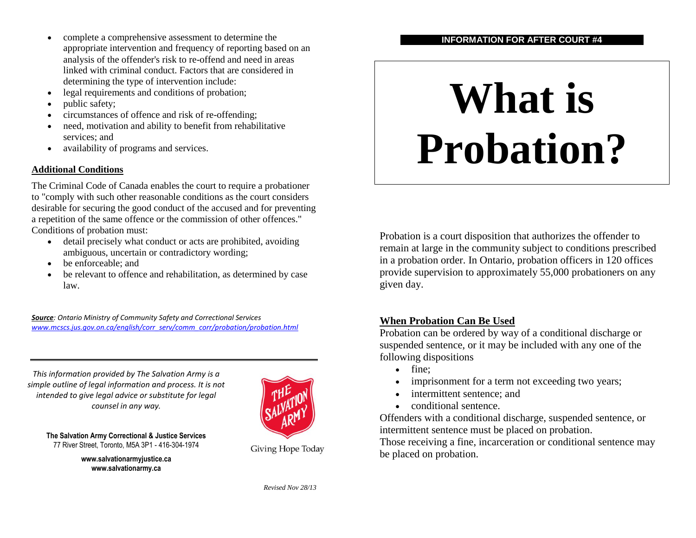- complete a comprehensive assessment to determine the appropriate intervention and frequency of reporting based on an analysis of the offender's risk to re-offend and need in areas linked with criminal conduct. Factors that are considered in determining the type of intervention include:
- legal requirements and conditions of probation;
- public safety;
- circumstances of offence and risk of re-offending;
- need, motivation and ability to benefit from rehabilitative services; and
- availability of programs and services.

#### **Additional Conditions**

The Criminal Code of Canada enables the court to require a probationer to "comply with such other reasonable conditions as the court considers desirable for securing the good conduct of the accused and for preventing a repetition of the same offence or the commission of other offences." Conditions of probation must:

- detail precisely what conduct or acts are prohibited, avoiding ambiguous, uncertain or contradictory wording;
- be enforceable; and
- be relevant to offence and rehabilitation, as determined by case law.

*Source: Ontario Ministry of Community Safety and Correctional Services [www.mcscs.jus.gov.on.ca/english/corr\\_serv/comm\\_corr/probation/probation.html](http://www.mcscs.jus.gov.on.ca/english/corr_serv/comm_corr/probation/probation.html)*

*This information provided by The Salvation Army is a simple outline of legal information and process. It is not intended to give legal advice or substitute for legal counsel in any way.*



**The Salvation Army Correctional & Justice Services www.salvationarmy.ca** 77 River Street, Toronto, M5A 3P1 - 416-304-1974

> **www.salvationarmyjustice.ca www.salvationarmy.ca**

Giving Hope Today

# **INFORMATION FOR AFTER COURT #4**

# **What is Probation?**

Probation is a court disposition that authorizes the offender to remain at large in the community subject to conditions prescribed in a probation order. In Ontario, probation officers in 120 offices provide supervision to approximately 55,000 probationers on any given day.

# **When Probation Can Be Used**

Probation can be ordered by way of a conditional discharge or suspended sentence, or it may be included with any one of the following dispositions

- $\bullet$  fine:
- imprisonment for a term not exceeding two years;
- intermittent sentence; and
- conditional sentence.

Offenders with a conditional discharge, suspended sentence, or intermittent sentence must be placed on probation.

Those receiving a fine, incarceration or conditional sentence may be placed on probation.

*Revised Nov 28/13*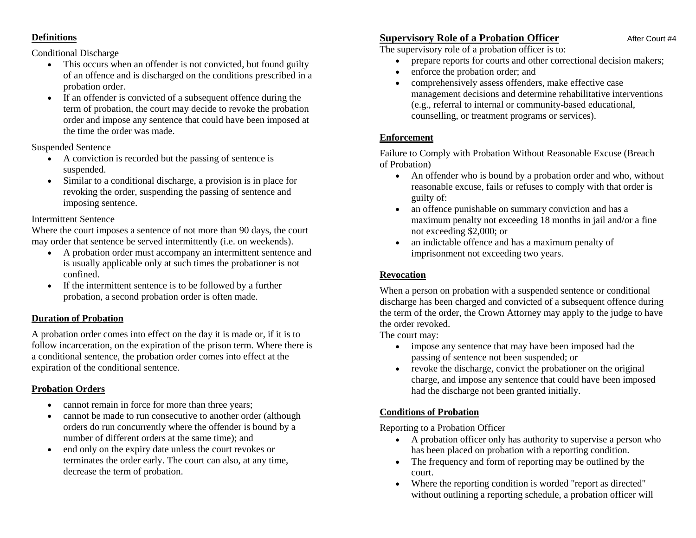#### **Definitions**

#### Conditional Discharge

- This occurs when an offender is not convicted, but found guilty of an offence and is discharged on the conditions prescribed in a probation order.
- If an offender is convicted of a subsequent offence during the term of probation, the court may decide to revoke the probation order and impose any sentence that could have been imposed at the time the order was made.

#### Suspended Sentence

- A conviction is recorded but the passing of sentence is suspended.
- Similar to a conditional discharge, a provision is in place for revoking the order, suspending the passing of sentence and imposing sentence.

#### Intermittent Sentence

Where the court imposes a sentence of not more than 90 days, the court may order that sentence be served intermittently (i.e. on weekends).

- A probation order must accompany an intermittent sentence and is usually applicable only at such times the probationer is not confined.
- If the intermittent sentence is to be followed by a further probation, a second probation order is often made.

#### **Duration of Probation**

A probation order comes into effect on the day it is made or, if it is to follow incarceration, on the expiration of the prison term. Where there is a conditional sentence, the probation order comes into effect at the expiration of the conditional sentence.

#### **Probation Orders**

- cannot remain in force for more than three years;
- cannot be made to run consecutive to another order (although orders do run concurrently where the offender is bound by a number of different orders at the same time); and
- end only on the expiry date unless the court revokes or terminates the order early. The court can also, at any time, decrease the term of probation.

# **Supervisory Role of a Probation Officer** After Court #4

The supervisory role of a probation officer is to:

- prepare reports for courts and other correctional decision makers;
- enforce the probation order; and
- comprehensively assess offenders, make effective case management decisions and determine rehabilitative interventions (e.g., referral to internal or community-based educational, counselling, or treatment programs or services).

# **Enforcement**

Failure to Comply with Probation Without Reasonable Excuse (Breach of Probation)

- An offender who is bound by a probation order and who, without reasonable excuse, fails or refuses to comply with that order is guilty of:
- an offence punishable on summary conviction and has a maximum penalty not exceeding 18 months in jail and/or a fine not exceeding \$2,000; or
- an indictable offence and has a maximum penalty of imprisonment not exceeding two years.

# **Revocation**

When a person on probation with a suspended sentence or conditional discharge has been charged and convicted of a subsequent offence during the term of the order, the Crown Attorney may apply to the judge to have the order revoked.

The court may:

- impose any sentence that may have been imposed had the passing of sentence not been suspended; or
- revoke the discharge, convict the probationer on the original charge, and impose any sentence that could have been imposed had the discharge not been granted initially.

# **Conditions of Probation**

Reporting to a Probation Officer

- A probation officer only has authority to supervise a person who has been placed on probation with a reporting condition.
- The frequency and form of reporting may be outlined by the court.
- Where the reporting condition is worded "report as directed" without outlining a reporting schedule, a probation officer will